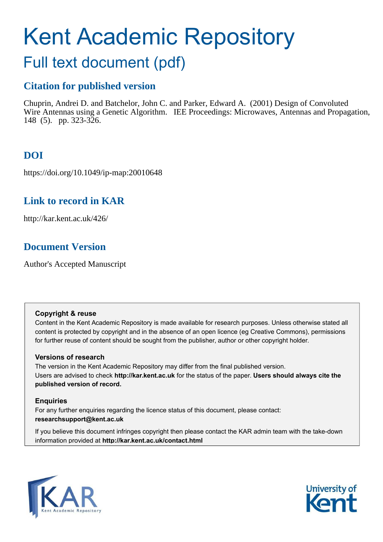# Kent Academic Repository

## Full text document (pdf)

## **Citation for published version**

Chuprin, Andrei D. and Batchelor, John C. and Parker, Edward A. (2001) Design of Convoluted Wire Antennas using a Genetic Algorithm. IEE Proceedings: Microwaves, Antennas and Propagation, 148 (5). pp. 323-326.

## **DOI**

https://doi.org/10.1049/ip-map:20010648

## **Link to record in KAR**

http://kar.kent.ac.uk/426/

## **Document Version**

Author's Accepted Manuscript

#### **Copyright & reuse**

Content in the Kent Academic Repository is made available for research purposes. Unless otherwise stated all content is protected by copyright and in the absence of an open licence (eg Creative Commons), permissions for further reuse of content should be sought from the publisher, author or other copyright holder.

#### **Versions of research**

The version in the Kent Academic Repository may differ from the final published version. Users are advised to check **http://kar.kent.ac.uk** for the status of the paper. **Users should always cite the published version of record.**

#### **Enquiries**

For any further enquiries regarding the licence status of this document, please contact: **researchsupport@kent.ac.uk**

If you believe this document infringes copyright then please contact the KAR admin team with the take-down information provided at **http://kar.kent.ac.uk/contact.html**



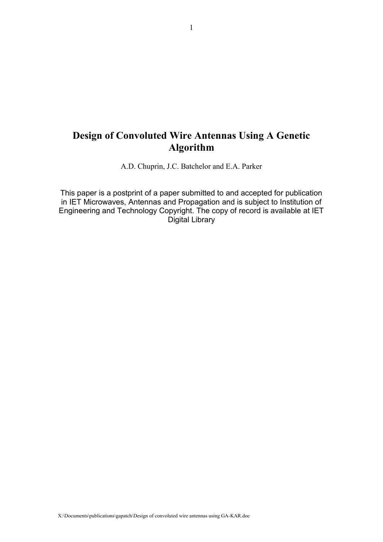## **Design of Convoluted Wire Antennas Using A Genetic Algorithm**

A.D. Chuprin, J.C. Batchelor and E.A. Parker

This paper is a postprint of a paper submitted to and accepted for publication in IET Microwaves, Antennas and Propagation and is subject to Institution of Engineering and Technology Copyright. The copy of record is available at IET Digital Library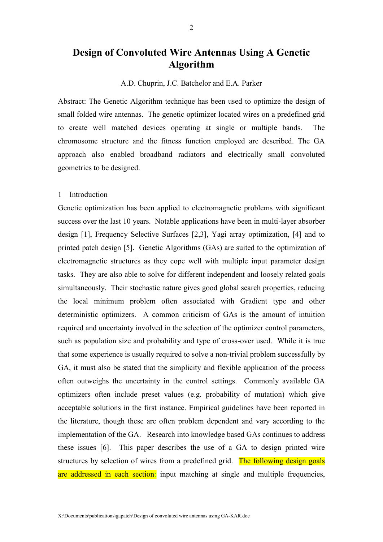### **Design of Convoluted Wire Antennas Using A Genetic Algorithm**

A.D. Chuprin, J.C. Batchelor and E.A. Parker

Abstract: The Genetic Algorithm technique has been used to optimize the design of small folded wire antennas. The genetic optimizer located wires on a predefined grid to create well matched devices operating at single or multiple bands. The chromosome structure and the fitness function employed are described. The GA approach also enabled broadband radiators and electrically small convoluted geometries to be designed.

#### 1 Introduction

Genetic optimization has been applied to electromagnetic problems with significant success over the last 10 years. Notable applications have been in multi-layer absorber design [1], Frequency Selective Surfaces [2,3], Yagi array optimization, [4] and to printed patch design [5]. Genetic Algorithms (GAs) are suited to the optimization of electromagnetic structures as they cope well with multiple input parameter design tasks. They are also able to solve for different independent and loosely related goals simultaneously. Their stochastic nature gives good global search properties, reducing the local minimum problem often associated with Gradient type and other deterministic optimizers. A common criticism of GAs is the amount of intuition required and uncertainty involved in the selection of the optimizer control parameters, such as population size and probability and type of cross-over used. While it is true that some experience is usually required to solve a non-trivial problem successfully by GA, it must also be stated that the simplicity and flexible application of the process often outweighs the uncertainty in the control settings. Commonly available GA optimizers often include preset values (e.g. probability of mutation) which give acceptable solutions in the first instance. Empirical guidelines have been reported in the literature, though these are often problem dependent and vary according to the implementation of the GA. Research into knowledge based GAs continues to address these issues [6]. This paper describes the use of a GA to design printed wire structures by selection of wires from a predefined grid. The following design goals are addressed in each section: input matching at single and multiple frequencies,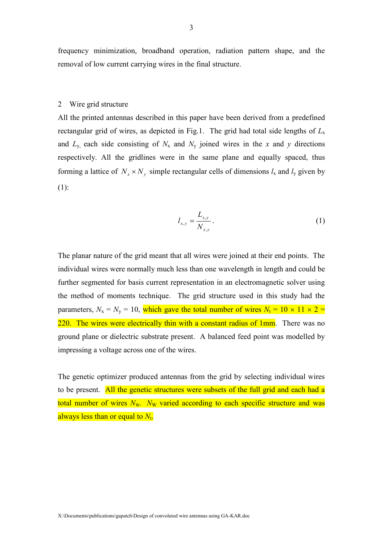frequency minimization, broadband operation, radiation pattern shape, and the removal of low current carrying wires in the final structure.

#### 2 Wire grid structure

All the printed antennas described in this paper have been derived from a predefined rectangular grid of wires, as depicted in Fig.1. The grid had total side lengths of  $L<sub>x</sub>$ and  $L_y$  each side consisting of  $N_x$  and  $N_y$  joined wires in the x and y directions respectively. All the gridlines were in the same plane and equally spaced, thus forming a lattice of  $N_x \times N_y$  simple rectangular cells of dimensions  $l_x$  and  $l_y$  given by (1):

$$
l_{x,y} = \frac{L_{x,y}}{N_{x,y}}.
$$
 (1)

The planar nature of the grid meant that all wires were joined at their end points. The individual wires were normally much less than one wavelength in length and could be further segmented for basis current representation in an electromagnetic solver using the method of moments technique. The grid structure used in this study had the parameters,  $N_x = N_y = 10$ , which gave the total number of wires  $N_t = 10 \times 11 \times 2 =$ 220. The wires were electrically thin with a constant radius of 1mm. There was no ground plane or dielectric substrate present. A balanced feed point was modelled by impressing a voltage across one of the wires.

The genetic optimizer produced antennas from the grid by selecting individual wires to be present. All the genetic structures were subsets of the full grid and each had a total number of wires  $N_{\rm W}$ .  $N_{\rm W}$  varied according to each specific structure and was always less than or equal to *N*<sup>t</sup> .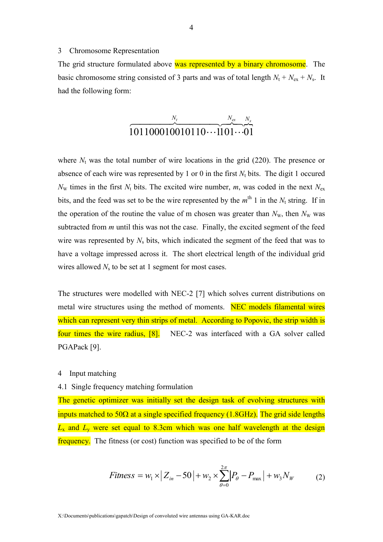#### 3 Chromosome Representation

The grid structure formulated above was represented by a binary chromosome. The basic chromosome string consisted of 3 parts and was of total length  $N_t + N_{ex} + N_s$ . It had the following form:

$$
\overbrace{101100010010110\cdots1101}^{N_t} \dots \overbrace{01}^{N_{ex}}.
$$

where  $N_t$  was the total number of wire locations in the grid  $(220)$ . The presence or absence of each wire was represented by 1 or 0 in the first  $N_t$  bits. The digit 1 occured  $N_{\rm w}$  times in the first  $N_{\rm t}$  bits. The excited wire number, *m*, was coded in the next  $N_{\rm ex}$ bits, and the feed was set to be the wire represented by the  $m<sup>th</sup> 1$  in the  $N_t$  string. If in the operation of the routine the value of m chosen was greater than  $N_w$ , then  $N_w$  was subtracted from *m* until this was not the case. Finally, the excited segment of the feed wire was represented by  $N_s$  bits, which indicated the segment of the feed that was to have a voltage impressed across it. The short electrical length of the individual grid wires allowed  $N<sub>s</sub>$  to be set at 1 segment for most cases.

The structures were modelled with NEC-2 [7] which solves current distributions on metal wire structures using the method of moments. NEC models filamental wires which can represent very thin strips of metal. According to Popovic, the strip width is four times the wire radius, [8]. NEC-2 was interfaced with a GA solver called PGAPack [9].

#### 4 Input matching

#### 4.1 Single frequency matching formulation

The genetic optimizer was initially set the design task of evolving structures with inputs matched to 50 $\Omega$  at a single specified frequency (1.8GHz). The grid side lengths  $L_x$  and  $L_y$  were set equal to 8.3cm which was one half wavelength at the design frequency. The fitness (or cost) function was specified to be of the form

$$
Fitness = w_1 \times |Z_{in} - 50| + w_2 \times \sum_{\theta=0}^{2\pi} |P_{\theta} - P_{max}| + w_3 N_W
$$
 (2)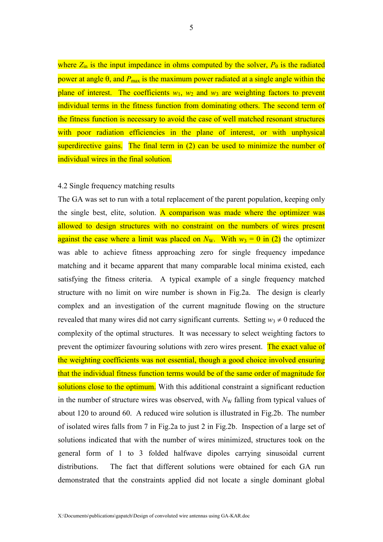where  $Z_{\text{in}}$  is the input impedance in ohms computed by the solver,  $P_{\theta}$  is the radiated power at angle  $\theta$ , and  $P_{\text{max}}$  is the maximum power radiated at a single angle within the plane of interest. The coefficients  $w_1$ ,  $w_2$  and  $w_3$  are weighting factors to prevent individual terms in the fitness function from dominating others. The second term of the fitness function is necessary to avoid the case of well matched resonant structures with poor radiation efficiencies in the plane of interest, or with unphysical superdirective gains. The final term in (2) can be used to minimize the number of individual wires in the final solution.

#### 4.2 Single frequency matching results

The GA was set to run with a total replacement of the parent population, keeping only the single best, elite, solution. A comparison was made where the optimizer was allowed to design structures with no constraint on the numbers of wires present against the case where a limit was placed on  $N_w$ . With  $w_3 = 0$  in (2) the optimizer was able to achieve fitness approaching zero for single frequency impedance matching and it became apparent that many comparable local minima existed, each satisfying the fitness criteria. A typical example of a single frequency matched structure with no limit on wire number is shown in Fig.2a. The design is clearly complex and an investigation of the current magnitude flowing on the structure revealed that many wires did not carry significant currents. Setting  $w_3 \neq 0$  reduced the complexity of the optimal structures. It was necessary to select weighting factors to prevent the optimizer favouring solutions with zero wires present. The exact value of the weighting coefficients was not essential, though a good choice involved ensuring that the individual fitness function terms would be of the same order of magnitude for solutions close to the optimum. With this additional constraint a significant reduction in the number of structure wires was observed, with  $N<sub>W</sub>$  falling from typical values of about 120 to around 60. A reduced wire solution is illustrated in Fig.2b. The number of isolated wires falls from 7 in Fig.2a to just 2 in Fig.2b. Inspection of a large set of solutions indicated that with the number of wires minimized, structures took on the general form of 1 to 3 folded halfwave dipoles carrying sinusoidal current distributions. The fact that different solutions were obtained for each GA run demonstrated that the constraints applied did not locate a single dominant global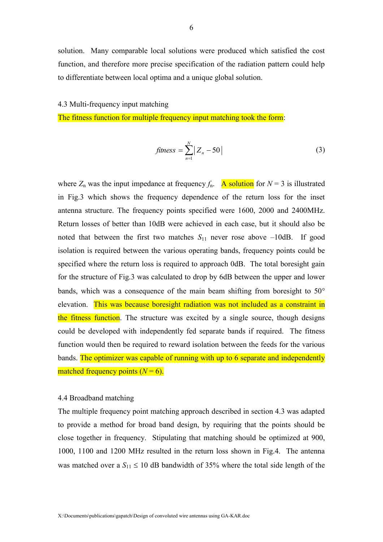solution. Many comparable local solutions were produced which satisfied the cost function, and therefore more precise specification of the radiation pattern could help to differentiate between local optima and a unique global solution.

#### 4.3 Multi-frequency input matching

The fitness function for multiple frequency input matching took the form:

$$
fitness = \sum_{n=1}^{N} |Z_n - 50|
$$
 (3)

where  $Z_n$  was the input impedance at frequency  $f_n$ . A solution for  $N = 3$  is illustrated in Fig.3 which shows the frequency dependence of the return loss for the inset antenna structure. The frequency points specified were 1600, 2000 and 2400MHz. Return losses of better than 10dB were achieved in each case, but it should also be noted that between the first two matches  $S_{11}$  never rose above  $-10$ dB. If good isolation is required between the various operating bands, frequency points could be specified where the return loss is required to approach 0dB. The total boresight gain for the structure of Fig.3 was calculated to drop by 6dB between the upper and lower bands, which was a consequence of the main beam shifting from boresight to  $50^{\circ}$ elevation. This was because boresight radiation was not included as a constraint in the fitness function. The structure was excited by a single source, though designs could be developed with independently fed separate bands if required. The fitness function would then be required to reward isolation between the feeds for the various bands. The optimizer was capable of running with up to 6 separate and independently matched frequency points  $(N = 6)$ .

#### 4.4 Broadband matching

The multiple frequency point matching approach described in section 4.3 was adapted to provide a method for broad band design, by requiring that the points should be close together in frequency. Stipulating that matching should be optimized at 900, 1000, 1100 and 1200 MHz resulted in the return loss shown in Fig.4. The antenna was matched over a  $S_{11} \le 10$  dB bandwidth of 35% where the total side length of the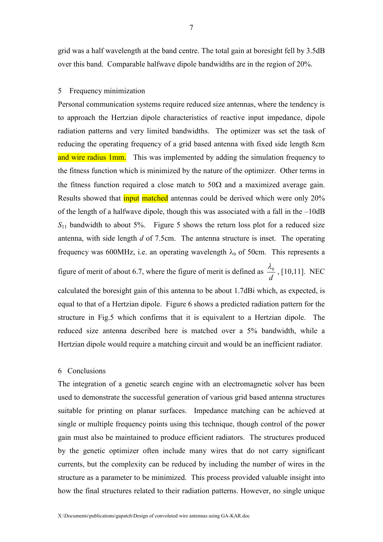grid was a half wavelength at the band centre. The total gain at boresight fell by 3.5dB over this band. Comparable halfwave dipole bandwidths are in the region of 20%.

#### 5 Frequency minimization

Personal communication systems require reduced size antennas, where the tendency is to approach the Hertzian dipole characteristics of reactive input impedance, dipole radiation patterns and very limited bandwidths. The optimizer was set the task of reducing the operating frequency of a grid based antenna with fixed side length 8cm and wire radius 1mm. This was implemented by adding the simulation frequency to the fitness function which is minimized by the nature of the optimizer. Other terms in the fitness function required a close match to  $50\Omega$  and a maximized average gain. Results showed that input matched antennas could be derived which were only 20% of the length of a halfwave dipole, though this was associated with a fall in the –10dB  $S_{11}$  bandwidth to about 5%. Figure 5 shows the return loss plot for a reduced size antenna, with side length *d* of 7.5cm. The antenna structure is inset. The operating frequency was 600MHz, i.e. an operating wavelength  $\lambda_0$  of 50cm. This represents a figure of merit of about 6.7, where the figure of merit is defined as *d*  $\frac{\lambda_0}{\lambda}$ , [10,11]. NEC

calculated the boresight gain of this antenna to be about 1.7dBi which, as expected, is equal to that of a Hertzian dipole. Figure 6 shows a predicted radiation pattern for the structure in Fig.5 which confirms that it is equivalent to a Hertzian dipole. The reduced size antenna described here is matched over a 5% bandwidth, while a Hertzian dipole would require a matching circuit and would be an inefficient radiator.

#### 6 Conclusions

The integration of a genetic search engine with an electromagnetic solver has been used to demonstrate the successful generation of various grid based antenna structures suitable for printing on planar surfaces. Impedance matching can be achieved at single or multiple frequency points using this technique, though control of the power gain must also be maintained to produce efficient radiators. The structures produced by the genetic optimizer often include many wires that do not carry significant currents, but the complexity can be reduced by including the number of wires in the structure as a parameter to be minimized. This process provided valuable insight into how the final structures related to their radiation patterns. However, no single unique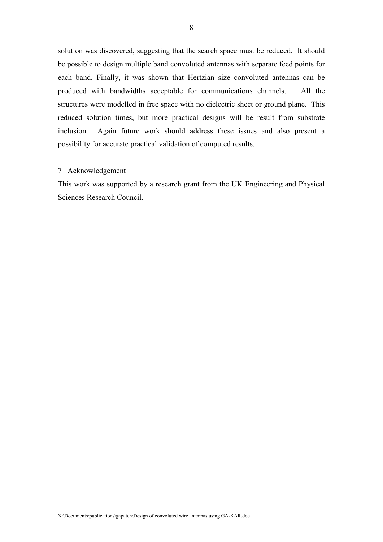solution was discovered, suggesting that the search space must be reduced. It should be possible to design multiple band convoluted antennas with separate feed points for each band. Finally, it was shown that Hertzian size convoluted antennas can be produced with bandwidths acceptable for communications channels. All the structures were modelled in free space with no dielectric sheet or ground plane. This reduced solution times, but more practical designs will be result from substrate inclusion. Again future work should address these issues and also present a possibility for accurate practical validation of computed results.

#### 7 Acknowledgement

This work was supported by a research grant from the UK Engineering and Physical Sciences Research Council.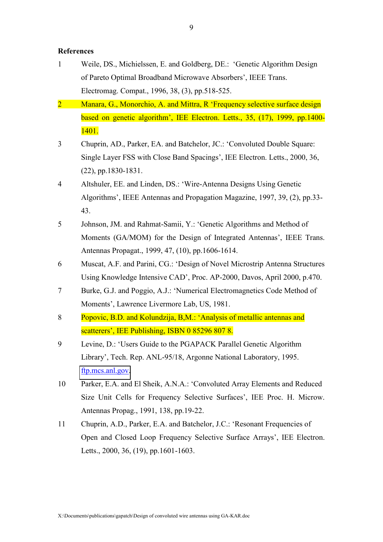#### **References**

- 1 Weile, DS., Michielssen, E. and Goldberg, DE.: 'Genetic Algorithm Design of Pareto Optimal Broadband Microwave Absorbers', IEEE Trans. Electromag. Compat., 1996, 38, (3), pp.518-525.
- 2 Manara, G., Monorchio, A. and Mittra, R 'Frequency selective surface design based on genetic algorithm', IEE Electron. Letts., 35, (17), 1999, pp.1400- 1401.
- 3 Chuprin, AD., Parker, EA. and Batchelor, JC.: 'Convoluted Double Square: Single Layer FSS with Close Band Spacings', IEE Electron. Letts., 2000, 36, (22), pp.1830-1831.
- 4 Altshuler, EE. and Linden, DS.: 'Wire-Antenna Designs Using Genetic Algorithms', IEEE Antennas and Propagation Magazine, 1997, 39, (2), pp.33- 43.
- 5 Johnson, JM. and Rahmat-Samii, Y.: 'Genetic Algorithms and Method of Moments (GA/MOM) for the Design of Integrated Antennas', IEEE Trans. Antennas Propagat., 1999, 47, (10), pp.1606-1614.
- 6 Muscat, A.F. and Parini, CG.: 'Design of Novel Microstrip Antenna Structures Using Knowledge Intensive CAD', Proc. AP-2000, Davos, April 2000, p.470.
- 7 Burke, G.J. and Poggio, A.J.: 'Numerical Electromagnetics Code Method of Moments', Lawrence Livermore Lab, US, 1981.
- 8 Popovic, B.D. and Kolundzija, B,M.: 'Analysis of metallic antennas and scatterers', IEE Publishing, ISBN 0 85296 807 8.
- 9 Levine, D.: 'Users Guide to the PGAPACK Parallel Genetic Algorithm Library', Tech. Rep. ANL-95/18, Argonne National Laboratory, 1995. [ftp.mcs.anl.gov.](ftp://ftp.mcs.anl.gov/)
- 10 Parker, E.A. and El Sheik, A.N.A.: 'Convoluted Array Elements and Reduced Size Unit Cells for Frequency Selective Surfaces', IEE Proc. H. Microw. Antennas Propag., 1991, 138, pp.19-22.
- 11 Chuprin, A.D., Parker, E.A. and Batchelor, J.C.: 'Resonant Frequencies of Open and Closed Loop Frequency Selective Surface Arrays', IEE Electron. Letts., 2000, 36, (19), pp.1601-1603.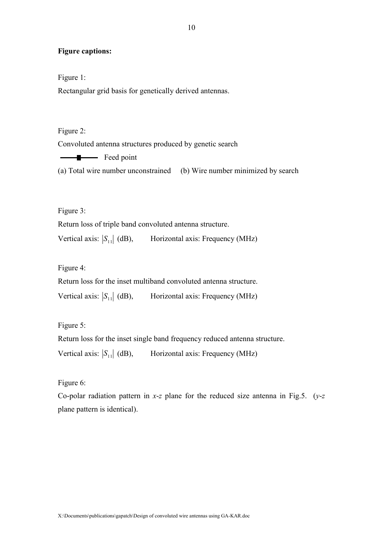#### **Figure captions:**

Figure 1:

Rectangular grid basis for genetically derived antennas.

Figure 2: Convoluted antenna structures produced by genetic search Feed point

(a) Total wire number unconstrained (b) Wire number minimized by search

Figure 3:

Return loss of triple band convoluted antenna structure.

Vertical axis:  $|S_{11}|$  (dB), Horizontal axis: Frequency (MHz)

Figure 4:

Return loss for the inset multiband convoluted antenna structure.

Vertical axis:  $|S_{11}|$  (dB), Horizontal axis: Frequency (MHz)

Figure 5:

Return loss for the inset single band frequency reduced antenna structure.

Vertical axis:  $|S_{11}|$  (dB), Horizontal axis: Frequency (MHz)

Figure 6:

Co-polar radiation pattern in *x*-*z* plane for the reduced size antenna in Fig.5. (*y*-*z* plane pattern is identical).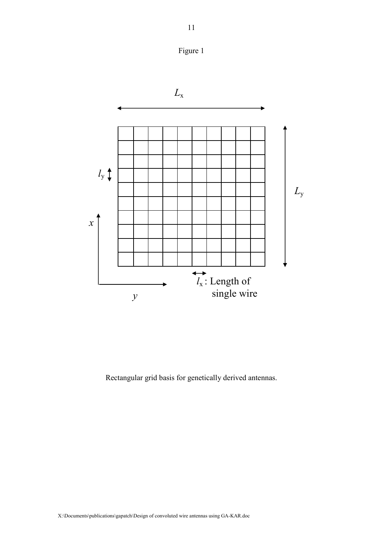



Rectangular grid basis for genetically derived antennas.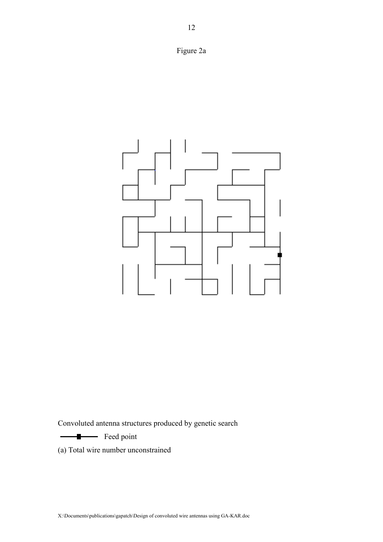



Convoluted antenna structures produced by genetic search

Feed point

(a) Total wire number unconstrained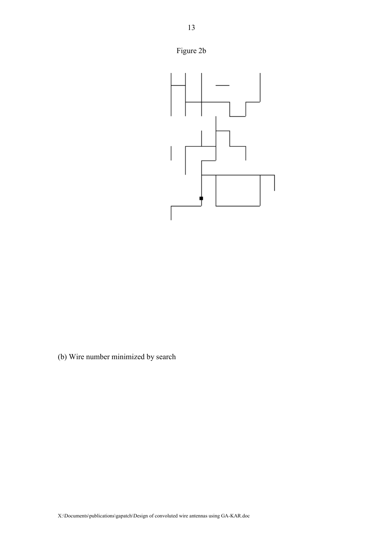



(b) Wire number minimized by search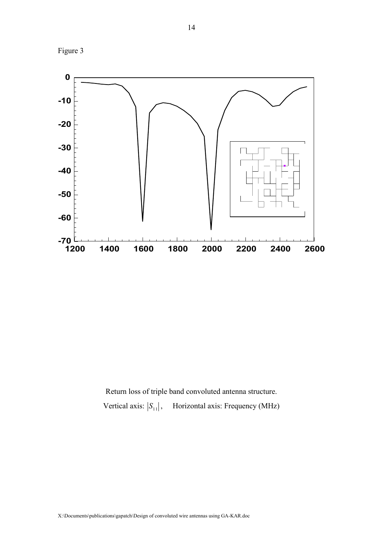Figure 3



Return loss of triple band convoluted antenna structure. Vertical axis:  $|S_{11}|$ , Horizontal axis: Frequency (MHz)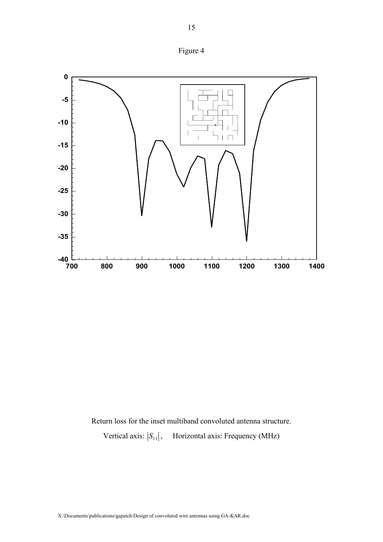



Return loss for the inset multiband convoluted antenna structure.

Vertical axis:  $|S_{11}|$ , Horizontal axis: Frequency (MHz)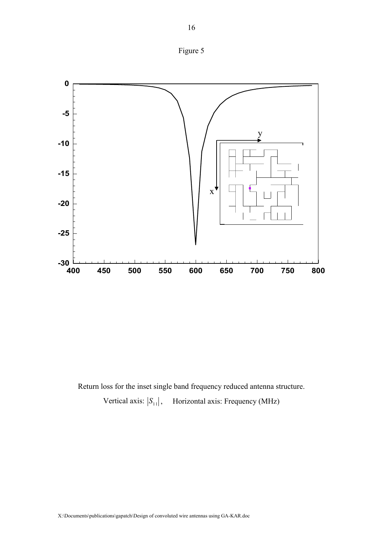



Return loss for the inset single band frequency reduced antenna structure. Vertical axis:  $|S_{11}|$ , Horizontal axis: Frequency (MHz)